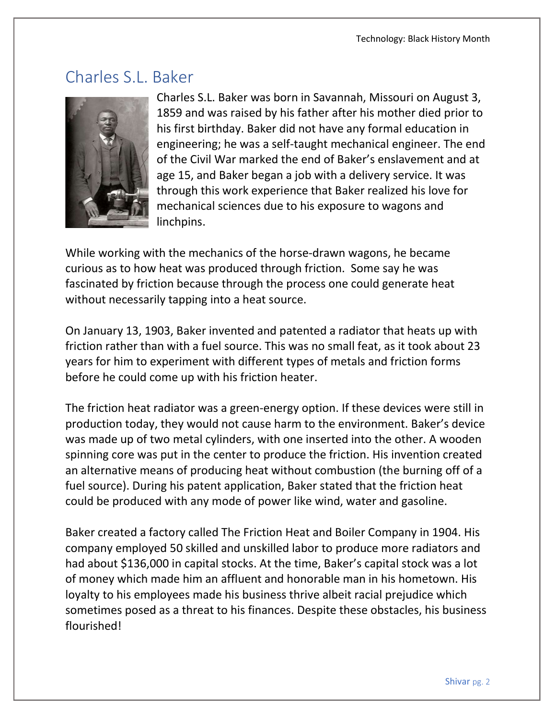## Charles S.L. Baker



Charles S.L. Baker was born in Savannah, Missouri on August 3, 1859 and was raised by his father after his mother died prior to his first birthday. Baker did not have any formal education in engineering; he was a self-taught mechanical engineer. The end of the Civil War marked the end of Baker's enslavement and at age 15, and Baker began a job with a delivery service. It was through this work experience that Baker realized his love for mechanical sciences due to his exposure to wagons and linchpins.

While working with the mechanics of the horse-drawn wagons, he became curious as to how heat was produced through friction. Some say he was fascinated by friction because through the process one could generate heat without necessarily tapping into a heat source.

On January 13, 1903, Baker invented and patented a radiator that heats up with friction rather than with a fuel source. This was no small feat, as it took about 23 years for him to experiment with different types of metals and friction forms before he could come up with his friction heater.

The friction heat radiator was a green-energy option. If these devices were still in production today, they would not cause harm to the environment. Baker's device was made up of two metal cylinders, with one inserted into the other. A wooden spinning core was put in the center to produce the friction. His invention created an alternative means of producing heat without combustion (the burning off of a fuel source). During his patent application, Baker stated that the friction heat could be produced with any mode of power like wind, water and gasoline.

Baker created a factory called The Friction Heat and Boiler Company in 1904. His company employed 50 skilled and unskilled labor to produce more radiators and had about \$136,000 in capital stocks. At the time, Baker's capital stock was a lot of money which made him an affluent and honorable man in his hometown. His loyalty to his employees made his business thrive albeit racial prejudice which sometimes posed as a threat to his finances. Despite these obstacles, his business flourished!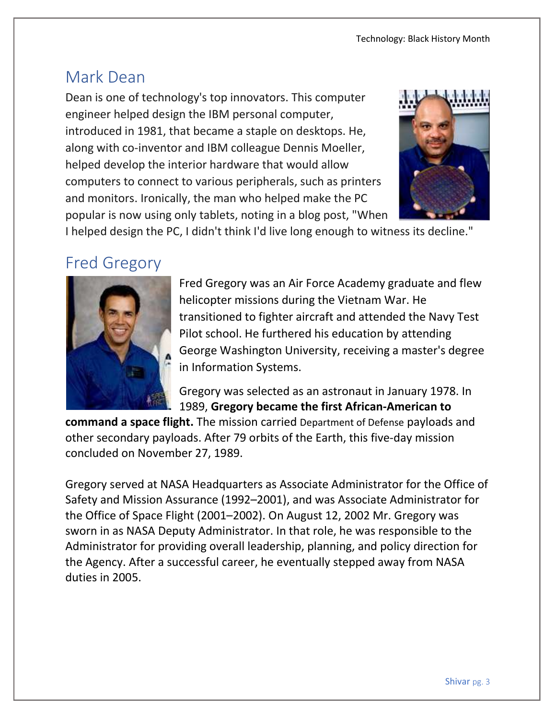## Mark Dean

Dean is one of technology's top innovators. This computer engineer helped design the IBM personal computer, introduced in 1981, that became a staple on desktops. He, along with co-inventor and IBM colleague Dennis Moeller, helped develop the interior hardware that would allow computers to connect to various peripherals, such as printers and monitors. Ironically, the man who helped make the PC popular is now using only tablets, noting in a blog post, "When



I helped design the PC, I didn't think I'd live long enough to witness its decline."

#### Fred Gregory



Fred Gregory was an Air Force Academy graduate and flew helicopter missions during the Vietnam War. He transitioned to fighter aircraft and attended the Navy Test Pilot school. He furthered his education by attending George Washington University, receiving a master's degree in Information Systems.

Gregory was selected as an astronaut in January 1978. In 1989, Gregory became the first African-American to

command a space flight. The mission carried Department of Defense payloads and other secondary payloads. After 79 orbits of the Earth, this five-day mission concluded on November 27, 1989.

Gregory served at NASA Headquarters as Associate Administrator for the Office of Safety and Mission Assurance (1992–2001), and was Associate Administrator for the Office of Space Flight (2001–2002). On August 12, 2002 Mr. Gregory was sworn in as NASA Deputy Administrator. In that role, he was responsible to the Administrator for providing overall leadership, planning, and policy direction for the Agency. After a successful career, he eventually stepped away from NASA duties in 2005.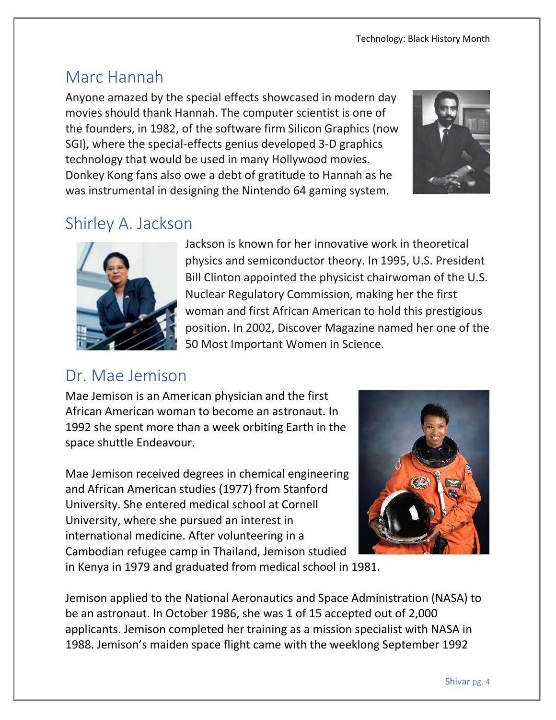## Marc Hannah

Anyone amazed by the special effects showcased in modern day movies should thank Hannah. The computer scientist is one of the founders, in 1982, of the software firm Silicon Graphics (now SGI), where the special-effects genius developed 3-D graphics technology that would be used in many Hollywood movies. Donkey Kong fans also owe a debt of gratitude to Hannah as he was instrumental in designing the Nintendo 64 gaming system.



# Shirley A. Jackson



Jackson is known for her innovative work in theoretical physics and semiconductor theory. In 1995, U.S. President Bill Clinton appointed the physicist chairwoman of the U.S. Nuclear Regulatory Commission, making her the first woman and first African American to hold this prestigious position. In 2002, Discover Magazine named her one of the 50 Most Important Women in Science.

# Dr. Mae Jemison

Mae Jemison is an American physician and the first African American woman to become an astronaut. In 1992 she spent more than a week orbiting Earth in the space shuttle Endeavour.

Mae Jemison received degrees in chemical engineering and African American studies (1977) from Stanford University. She entered medical school at Cornell University, where she pursued an interest in international medicine. After volunteering in a Cambodian refugee camp in Thailand, Jemison studied in Kenya in 1979 and graduated from medical school in 1981.



Jemison applied to the National Aeronautics and Space Administration (NASA) to be an astronaut. In October 1986, she was 1 of 15 accepted out of 2,000 applicants. Jemison completed her training as a mission specialist with NASA in 1988. Jemison's maiden space flight came with the weeklong September 1992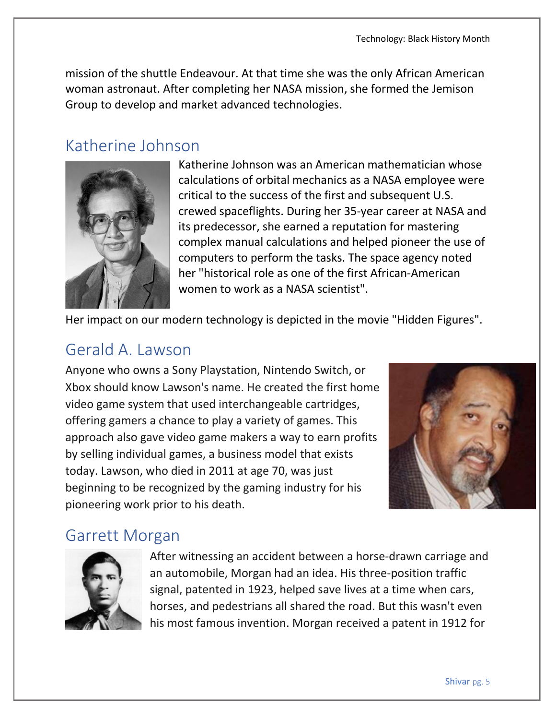mission of the shuttle Endeavour. At that time she was the only African American woman astronaut. After completing her NASA mission, she formed the Jemison Group to develop and market advanced technologies.

## Katherine Johnson



Katherine Johnson was an American mathematician whose calculations of orbital mechanics as a NASA employee were critical to the success of the first and subsequent U.S. crewed spaceflights. During her 35-year career at NASA and its predecessor, she earned a reputation for mastering complex manual calculations and helped pioneer the use of computers to perform the tasks. The space agency noted her "historical role as one of the first African-American women to work as a NASA scientist".

Her impact on our modern technology is depicted in the movie "Hidden Figures".

# Gerald A. Lawson

Anyone who owns a Sony Playstation, Nintendo Switch, or Xbox should know Lawson's name. He created the first home video game system that used interchangeable cartridges, offering gamers a chance to play a variety of games. This approach also gave video game makers a way to earn profits by selling individual games, a business model that exists today. Lawson, who died in 2011 at age 70, was just beginning to be recognized by the gaming industry for his pioneering work prior to his death.



## Garrett Morgan



After witnessing an accident between a horse-drawn carriage and an automobile, Morgan had an idea. His three-position traffic signal, patented in 1923, helped save lives at a time when cars, horses, and pedestrians all shared the road. But this wasn't even his most famous invention. Morgan received a patent in 1912 for